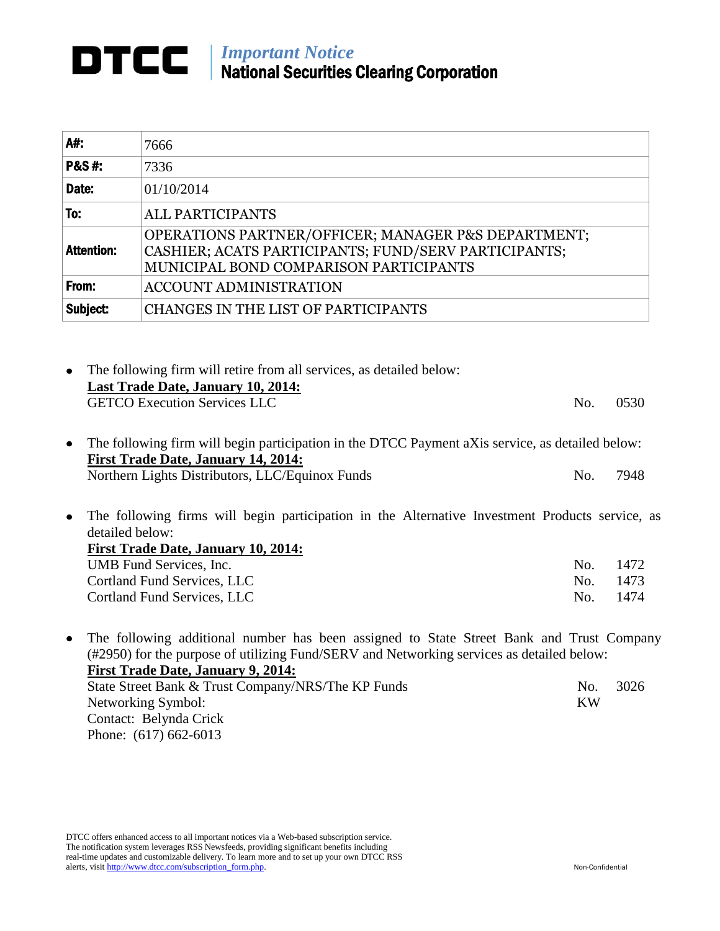## *Important Notice* National Securities Clearing Corporation

| A#:               | 7666                                                                                                                                                  |
|-------------------|-------------------------------------------------------------------------------------------------------------------------------------------------------|
| <b>P&amp;S#:</b>  | 7336                                                                                                                                                  |
| Date:             | 01/10/2014                                                                                                                                            |
| To:               | <b>ALL PARTICIPANTS</b>                                                                                                                               |
| <b>Attention:</b> | OPERATIONS PARTNER/OFFICER; MANAGER P&S DEPARTMENT;<br>CASHIER; ACATS PARTICIPANTS; FUND/SERV PARTICIPANTS;<br>MUNICIPAL BOND COMPARISON PARTICIPANTS |
| From:             | ACCOUNT ADMINISTRATION                                                                                                                                |
| Subject:          | CHANGES IN THE LIST OF PARTICIPANTS                                                                                                                   |

| • The following firm will retire from all services, as detailed below: |     |      |
|------------------------------------------------------------------------|-----|------|
| <b>Last Trade Date, January 10, 2014:</b>                              |     |      |
| <b>GETCO Execution Services LLC</b>                                    | No. | 0530 |
|                                                                        |     |      |

The following firm will begin participation in the DTCC Payment aXis service, as detailed below:  $\bullet$ **First Trade Date, January 14, 2014:** Northern Lights Distributors, LLC/Equinox Funds No. 7948

 $\bullet$ The following firms will begin participation in the Alternative Investment Products service, as detailed below: **First Trade Date, January 10, 2014:** UMB Fund Services, Inc.  $\blacksquare$ Cortland Fund Services, LLC No. 1473 Cortland Fund Services, LLC No. 1474

The following additional number has been assigned to State Street Bank and Trust Company  $\bullet$ (#2950) for the purpose of utilizing Fund/SERV and Networking services as detailed below: **First Trade Date, January 9, 2014:** State Street Bank & Trust Company/NRS/The KP Funds No. 3026 Networking Symbol: KW Contact: Belynda Crick Phone: (617) 662-6013

DTCC offers enhanced access to all important notices via a Web-based subscription service. The notification system leverages RSS Newsfeeds, providing significant benefits including real-time updates and customizable delivery. To learn more and to set up your own DTCC RSS alerts, visit http://www.dtcc.com/subscription\_form.php. Non-Confidential